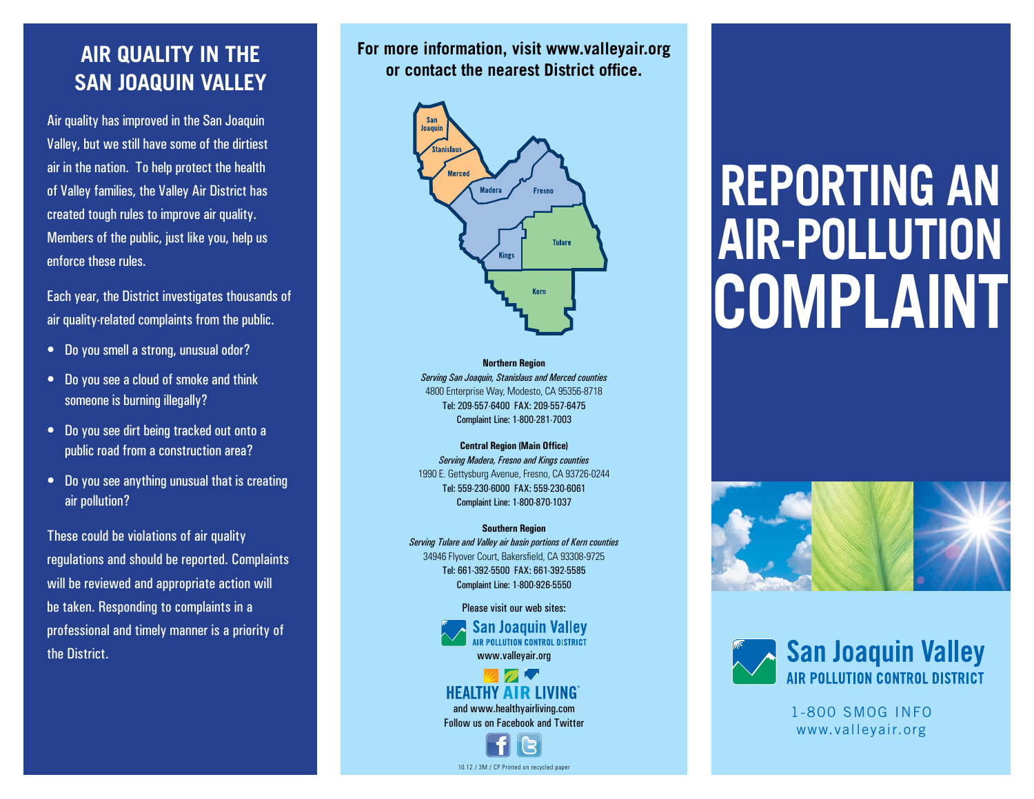#### **AIR QUALITY IN THE SAN JOAQUIN VALLEY**

Air quality has improved in the San Joaquin Valley, but we still have some of the dirtiest air in the nation. To help protect the health of Valley families, the Valley Air District has created tough rules to improve air quality. Members of the public, just like you, help us enforce these rules.

Each year, the District investigates thousands of air quality-related complaints from the public.

- • Do you smell a strong, unusual odor?
- • Do you see a cloud of smoke and think someone is burning illegally?
- • Do you see dirt being tracked out onto a public road from a construction area?
- Do you see anything unusual that is creating air pollution?

These could be violations of air quality regulations and should be reported. Complaints will be reviewed and appropriate action will be taken. Responding to complaints in a professional and timely manner is a priority of the District.

**For more information, visit www.valleyair.org or contact the nearest District office.** 



**Northern Region** *Serving San Joaquin, Stanislaus and Merced counties* 4800 Enterprise Way, Modesto, CA 95356-8718 Tel: 209-557-6400 FAX: 209-557-6475 Complaint Line: 1-800-281-7003

**Central Region (Main Office)** *Serving Madera, Fresno and Kings counties* 1990 E. Gettysburg Avenue, Fresno, CA 93726-0244 Tel: 559-230-6000 FAX: 559-230-6061 Complaint Line: 1-800-870-1037

**Southern Region**  *Serving Tulare and Valley air basin portions of Kern counties* 34946 Flyover Court, Bakersfield, CA 93308-9725 Tel: 661-392-5500 FAX: 661-392-5585 Complaint Line: 1-800-926-5550

> Please visit our web sites: **San Joaquin Valley** <u> NR PALLUTION CONTROL DISTRICT</u> www.valleyair.org

#### **HEALTHY AIR LIVING** and www.healthyairliving.com Follow us on Facebook and Twitter

10.12 / 3M / CP Printed on recycled paper

# **Reporting an air-pollution complaint**





1-800 SMOG INFO www.valleyair.org